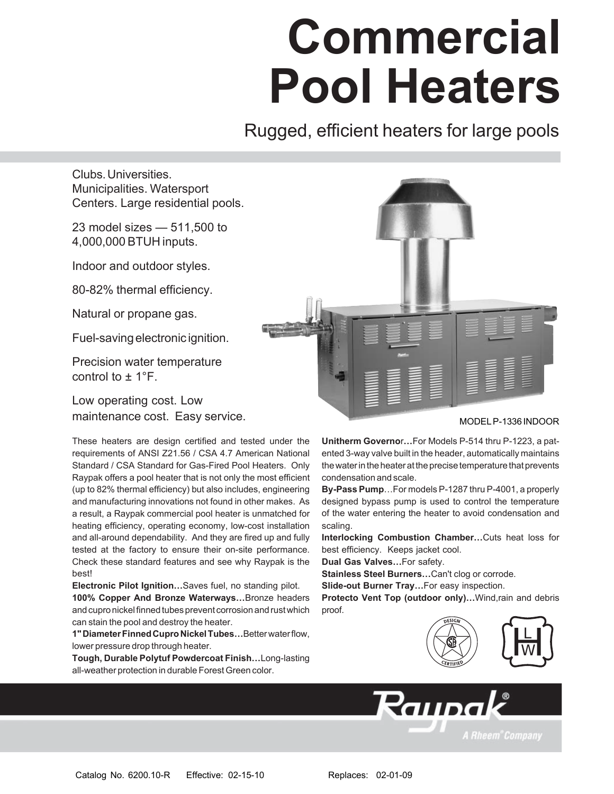# **Commercial Pool Heaters**

Rugged, efficient heaters for large pools

Clubs. Universities. Municipalities. Watersport Centers. Large residential pools.

23 model sizes  $-511,500$  to 4,000,000 BTUH inputs.

Indoor and outdoor styles.

80-82% thermal efficiency.

Natural or propane gas.

Fuel-saving electronic ignition.

Precision water temperature control to  $\pm$  1°F.

Low operating cost. Low maintenance cost. Easy service.

These heaters are design certified and tested under the requirements of ANSI Z21.56 / CSA 4.7 American National Standard / CSA Standard for Gas-Fired Pool Heaters. Only Raypak offers a pool heater that is not only the most efficient (up to 82% thermal efficiency) but also includes, engineering and manufacturing innovations not found in other makes. As a result, a Raypak commercial pool heater is unmatched for heating efficiency, operating economy, low-cost installation and all-around dependability. And they are fired up and fully tested at the factory to ensure their on-site performance. Check these standard features and see why Raypak is the best!

**Electronic Pilot Ignition...** Saves fuel, no standing pilot. **100% Copper And Bronze Waterways...Bronze headers** and cupro nickel finned tubes prevent corrosion and rust which can stain the pool and destroy the heater.

1" Diameter Finned Cupro Nickel Tubes... Better water flow, lower pressure drop through heater.

**Tough, Durable Polytuf Powdercoat Finish... Long-lasting** all-weather protection in durable Forest Green color.



#### MODEL P-1336 INDOOR

**Unitherm Governor...For Models P-514 thru P-1223, a pat**ented 3-way valve built in the header, automatically maintains the water in the heater at the precise temperature that prevents condensation and scale.

**By-Pass Pump...For models P-1287 thru P-4001, a properly** designed bypass pump is used to control the temperature of the water entering the heater to avoid condensation and scaling.

**Interlocking Combustion Chamber...Cuts heat loss for** best efficiency. Keeps jacket cool.

**Dual Gas Valves...For safety.** 

**Stainless Steel Burners...Can't clog or corrode.** 

**Slide-out Burner Tray...For easy inspection.** 

Protecto Vent Top (outdoor only)...Wind,rain and debris proof.

Raupak



**A Rheem<sup>®</sup>Company**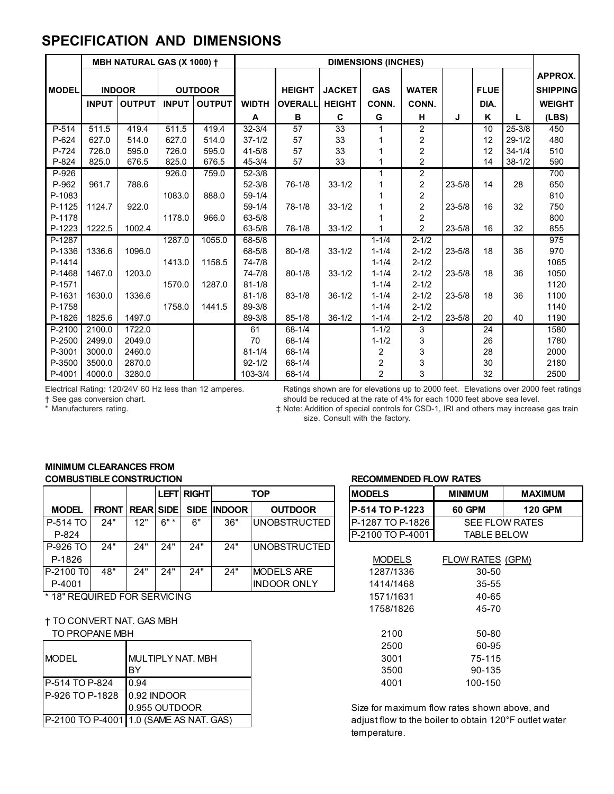### **SPECIFICATION AND DIMENSIONS**

|              |              | MBH NATURAL GAS (X 1000) + |              |                | <b>DIMENSIONS (INCHES)</b> |                |               |                         |                  |            |             |            |                 |
|--------------|--------------|----------------------------|--------------|----------------|----------------------------|----------------|---------------|-------------------------|------------------|------------|-------------|------------|-----------------|
|              |              |                            |              |                |                            |                |               |                         |                  |            |             | APPROX.    |                 |
| <b>MODEL</b> |              | <b>INDOOR</b>              |              | <b>OUTDOOR</b> |                            | <b>HEIGHT</b>  | <b>JACKET</b> | <b>GAS</b>              | <b>WATER</b>     |            | <b>FLUE</b> |            | <b>SHIPPING</b> |
|              | <b>INPUT</b> | <b>OUTPUT</b>              | <b>INPUT</b> | <b>OUTPUT</b>  | <b>WIDTH</b>               | <b>OVERALL</b> | <b>HEIGHT</b> | CONN.                   | CONN.            |            | DIA.        |            | <b>WEIGHT</b>   |
|              |              |                            |              |                | A                          | B              | $\mathbf{C}$  | G                       | н                | J          | ĸ           | L          | (LBS)           |
| P-514        | 511.5        | 419.4                      | 511.5        | 419.4          | $32 - 3/4$                 | 57             | 33            |                         | 2                |            | 10          | $25 - 3/8$ | 450             |
| P-624        | 627.0        | 514.0                      | 627.0        | 514.0          | $37 - 1/2$                 | 57             | 33            |                         | $\boldsymbol{2}$ |            | 12          | $29 - 1/2$ | 480             |
| P-724        | 726.0        | 595.0                      | 726.0        | 595.0          | $41 - 5/8$                 | 57             | 33            |                         | 2                |            | 12          | $34 - 1/4$ | 510             |
| P-824        | 825.0        | 676.5                      | 825.0        | 676.5          | $45 - 3/4$                 | 57             | 33            |                         | $\overline{2}$   |            | 14          | $38 - 1/2$ | 590             |
| P-926        |              |                            | 926.0        | 759.0          | $52 - 3/8$                 |                |               |                         | $\overline{c}$   |            |             |            | 700             |
| P-962        | 961.7        | 788.6                      |              |                | $52 - 3/8$                 | $76 - 1/8$     | $33 - 1/2$    | 1                       | $\overline{c}$   | $23 - 5/8$ | 14          | 28         | 650             |
| P-1083       |              |                            | 1083.0       | 888.0          | $59 - 1/4$                 |                |               |                         | 2                |            |             |            | 810             |
| P-1125       | 1124.7       | 922.0                      |              |                | $59 - 1/4$                 | $78-1/8$       | $33 - 1/2$    |                         | $\boldsymbol{2}$ | $23 - 5/8$ | 16          | 32         | 750             |
| P-1178       |              |                            | 1178.0       | 966.0          | $63 - 5/8$                 |                |               |                         | 2                |            |             |            | 800             |
| P-1223       | 1222.5       | 1002.4                     |              |                | 63-5/8                     | $78 - 1/8$     | $33 - 1/2$    |                         | $\overline{2}$   | $23 - 5/8$ | 16          | 32         | 855             |
| P-1287       |              |                            | 1287.0       | 1055.0         | 68-5/8                     |                |               | $1 - 1/4$               | $2 - 1/2$        |            |             |            | 975             |
| P-1336       | 1336.6       | 1096.0                     |              |                | 68-5/8                     | $80 - 1/8$     | $33 - 1/2$    | $1 - 1/4$               | $2 - 1/2$        | $23 - 5/8$ | 18          | 36         | 970             |
| P-1414       |              |                            | 1413.0       | 1158.5         | 74-7/8                     |                |               | $1 - 1/4$               | $2 - 1/2$        |            |             |            | 1065            |
| P-1468       | 1467.0       | 1203.0                     |              |                | $74 - 7/8$                 | $80 - 1/8$     | $33 - 1/2$    | $1 - 1/4$               | $2 - 1/2$        | $23 - 5/8$ | 18          | 36         | 1050            |
| P-1571       |              |                            | 1570.0       | 1287.0         | $81 - 1/8$                 |                |               | $1 - 1/4$               | $2 - 1/2$        |            |             |            | 1120            |
| P-1631       | 1630.0       | 1336.6                     |              |                | $81 - 1/8$                 | $83 - 1/8$     | $36 - 1/2$    | $1 - 1/4$               | $2 - 1/2$        | $23 - 5/8$ | 18          | 36         | 1100            |
| P-1758       |              |                            | 1758.0       | 1441.5         | 89-3/8                     |                |               | $1 - 1/4$               | $2 - 1/2$        |            |             |            | 1140            |
| P-1826       | 1825.6       | 1497.0                     |              |                | 89-3/8                     | $85 - 1/8$     | $36 - 1/2$    | $1 - 1/4$               | $2 - 1/2$        | $23 - 5/8$ | 20          | 40         | 1190            |
| $P-2100$     | 2100.0       | 1722.0                     |              |                | 61                         | $68 - 1/4$     |               | $1 - 1/2$               | 3                |            | 24          |            | 1580            |
| P-2500       | 2499.0       | 2049.0                     |              |                | 70                         | $68 - 1/4$     |               | $1 - 1/2$               | 3                |            | 26          |            | 1780            |
| P-3001       | 3000.0       | 2460.0                     |              |                | $81 - 1/4$                 | 68-1/4         |               | 2                       | 3                |            | 28          |            | 2000            |
| P-3500       | 3500.0       | 2870.0                     |              |                | $92 - 1/2$                 | 68-1/4         |               | $\overline{\mathbf{c}}$ | 3                |            | 30          |            | 2180            |
| P-4001       | 4000.0       | 3280.0                     |              |                | 103-3/4                    | 68-1/4         |               | $\overline{2}$          | $\mathbf{3}$     |            | 32          |            | 2500            |

Electrical Rating: 120/24V 60 Hz less than 12 amperes.<br>
The equasion of the rate of 4% for each 1000 feet. Elevations over 2000 feet ratings<br>
\* Manufacturers rating.<br>
\* Manufacturers rating.<br>
\* Manufacturers rating.<br>
\* Man EXECUTE SHOULD be reduced at the rate of 4% for each 1000 feet above sea level.

 $\ddagger$  Note: Addition of special controls for CSD-1, IRI and others may increase gas train size. Consult with the factory.

#### **MINIMUM CLEARANCES FROM COMBUSTIBLE CONSTRUCTION COMBUSTIBLE CONSTRUCTION**

|                 |                        |     |        | <b>LEFT RIGHT</b> | <b>TOP</b>         |                     | <b>IMODELS</b>           | <b>MINIMUM</b>     | <b>MAXIMUN</b>        |
|-----------------|------------------------|-----|--------|-------------------|--------------------|---------------------|--------------------------|--------------------|-----------------------|
| <b>MODEL</b>    | <b>FRONT REAR SIDE</b> |     |        |                   | <b>SIDE INDOOR</b> | <b>OUTDOOR</b>      | <b>IP-514 TO P-1223</b>  | 60 GPM             | <b>120 GPM</b>        |
| l P-514 TO      | 24"                    | 12" | $6"$ * | 6"                | 36"                | UNOBSTRUCTED        | <b>IP-1287 TO P-1826</b> |                    | <b>SEE FLOW RATES</b> |
| P-824           |                        |     |        |                   |                    |                     | IP-2100 TO P-4001        | <b>TABLE BELOW</b> |                       |
| <b>P-926 TO</b> | 24"                    | 24" | 24"    | 24"               | 24"                | <b>UNOBSTRUCTED</b> |                          |                    |                       |
| P-1826          |                        |     |        |                   |                    |                     | <b>MODELS</b>            | FLOW RATES (GPM)   |                       |
| IP-2100 T0I     | 48"                    | 24" | 24"    | 24"               | 24"                | <b>MODELS ARE</b>   | 1287/1336                | $30 - 50$          |                       |
| P-4001          |                        |     |        |                   |                    | <b>INDOOR ONLY</b>  | 1414/1468                | $35 - 55$          |                       |
|                 |                        |     |        |                   |                    |                     |                          |                    |                       |

\* 18" REQUIRED FOR SERVICING

**† TO CONVERT NAT. GAS MBH** 

TO PROPANE MBH

|                             |                                         | 2500                                   | 60-95   |
|-----------------------------|-----------------------------------------|----------------------------------------|---------|
| <b>IMODEL</b>               | MULTIPLY NAT. MBH                       | 3001                                   | 75-115  |
|                             | BY                                      | 3500                                   | 90-135  |
| P-514 TO P-824              | 10.94                                   | 4001                                   | 100-150 |
| P-926 TO P-1828 0.92 INDOOR |                                         |                                        |         |
|                             | 0.955 OUTDOOR                           | Size for maximum flow rates shown      |         |
|                             | P-2100 TO P-4001 1.0 (SAME AS NAT. GAS) | adjust flow to the boiler to obtain 12 |         |

|                   |                     | LEFT RIGHT |                    | <b>TOP</b>          |  | <b>MODELS</b>    | <b>MINIMUM</b>     | <b>MAXIMUM</b>        |  |  |  |
|-------------------|---------------------|------------|--------------------|---------------------|--|------------------|--------------------|-----------------------|--|--|--|
|                   | <b>REARISIDE</b>    |            | <b>SIDE INDOOR</b> | <b>OUTDOOR</b>      |  | P-514 TO P-1223  | 60 GPM             | <b>120 GPM</b>        |  |  |  |
| 12"               | $6"$ *              | 6"         | 36"                | UNOBSTRUCTED        |  | P-1287 TO P-1826 |                    | <b>SEE FLOW RATES</b> |  |  |  |
|                   |                     |            |                    |                     |  | P-2100 TO P-4001 | <b>TABLE BELOW</b> |                       |  |  |  |
| 24"               | 24"                 | 24"        | 24"                | <b>UNOBSTRUCTED</b> |  |                  |                    |                       |  |  |  |
|                   |                     |            |                    |                     |  | <b>MODELS</b>    | FLOW RATES (GPM)   |                       |  |  |  |
| 24"               | 24"                 | 24"        | 24"                | <b>MODELS ARE</b>   |  | 1287/1336        | $30 - 50$          |                       |  |  |  |
|                   |                     |            |                    | <b>INDOOR ONLY</b>  |  | 1414/1468        | $35 - 55$          |                       |  |  |  |
|                   | <b>DR SERVICING</b> |            |                    |                     |  | 1571/1631        | 40-65              |                       |  |  |  |
|                   |                     |            |                    |                     |  | 1758/1826        | 45-70              |                       |  |  |  |
| T. GAS MBH        |                     |            |                    |                     |  |                  |                    |                       |  |  |  |
| ⊣.                |                     |            |                    |                     |  | 2100             | 50-80              |                       |  |  |  |
|                   |                     |            |                    |                     |  | 2500             | 60-95              |                       |  |  |  |
| MULTIPLY NAT. MBH |                     |            |                    |                     |  | 3001             | 75-115             |                       |  |  |  |
| BY                |                     |            |                    |                     |  | 3500             | 90-135             |                       |  |  |  |
| 0.94              |                     |            |                    |                     |  | 4001             | 100-150            |                       |  |  |  |
|                   |                     |            |                    |                     |  |                  |                    |                       |  |  |  |

Size for maximum flow rates shown above, and adjust flow to the boiler to obtain 120°F outlet water temperature.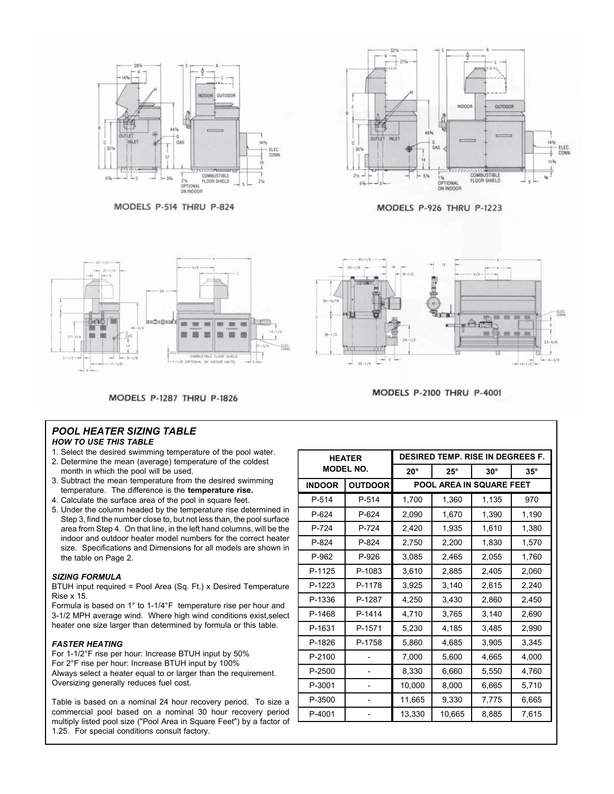

MODELS P-514 THRU P-824



MODELS P-926 THRU P-1223



Art u.  $22 - 1/4$ 

MODELS P-2100 THRU P-4001

**MODELS P-1287 THRU P-1826** 

#### *POOL HEATER SIZING TABLE*

#### *HOW TO USE THIS TABLE*

- 1. Select the desired swimming temperature of the pool water.
- 2. Determine the mean (average) temperature of the coldest month in which the pool will be used.
- 3. Subtract the mean temperature from the desired swimming temperature. The difference is the **temperature rise.**
- 4. Calculate the surface area of the pool in square feet.
- 5. Under the column headed by the temperature rise determined in Step 3, find the number close to, but not less than, the pool surface area from Step 4. On that line, in the left hand columns, will be the indoor and outdoor heater model numbers for the correct heater size. Specifications and Dimensions for all models are shown in the table on Page 2.

#### *SIZING FORMULA*

BTUH input required = Pool Area (Sq. Ft.) x Desired Temperature Rise x 15.

Formula is based on 1° to 1-1/4°F temperature rise per hour and 3-1/2 MPH average wind. Where high wind conditions exist,select heater one size larger than determined by formula or this table.

#### *FASTER HEATING*

For 1-1/2°F rise per hour: Increase BTUH input by 50% For 2°F rise per hour: Increase BTUH input by 100% Always select a heater equal to or larger than the requirement. Oversizing generally reduces fuel cost.

Table is based on a nominal 24 hour recovery period. To size a commercial pool based on a nominal 30 hour recovery period multiply listed pool size ("Pool Area in Square Feet") by a factor of 1.25. For special conditions consult factory.

|               | <b>HEATER</b>    | <b>DESIRED TEMP. RISE IN DEGREES F.</b> |            |            |            |  |  |  |  |
|---------------|------------------|-----------------------------------------|------------|------------|------------|--|--|--|--|
|               | <b>MODEL NO.</b> | $20^{\circ}$                            | $25^\circ$ | $30^\circ$ | $35^\circ$ |  |  |  |  |
| <b>INDOOR</b> | <b>OUTDOOR</b>   | POOL AREA IN SQUARE FEET                |            |            |            |  |  |  |  |
| P-514         | P-514            | 1,700                                   | 1,360      | 1,135      | 970        |  |  |  |  |
| P-624         | P-624            | 2,090                                   | 1,670      | 1,390      | 1,190      |  |  |  |  |
| $P-724$       | P-724            | 2,420                                   | 1,935      | 1,610      | 1,380      |  |  |  |  |
| P-824         | $P-824$          | 2,750                                   | 2,200      | 1,830      | 1,570      |  |  |  |  |
| P-962         | P-926            | 3,085                                   | 2,465      | 2,055      | 1,760      |  |  |  |  |
| P-1125        | P-1083           | 3,610                                   | 2,885      | 2,405      | 2,060      |  |  |  |  |
| P-1223        | P-1178           | 3,925                                   | 3,140      | 2,615      | 2,240      |  |  |  |  |
| P-1336        | P-1287           | 4,250                                   | 3,430      | 2,860      | 2,450      |  |  |  |  |
| P-1468        | P-1414           | 4,710                                   | 3,765      | 3,140      | 2,690      |  |  |  |  |
| P-1631        | P-1571           | 5,230                                   | 4,185      | 3,485      | 2,990      |  |  |  |  |
| P-1826        | P-1758           | 5,860                                   | 4,685      | 3,905      | 3,345      |  |  |  |  |
| P-2100        |                  | 7,000                                   | 5,600      | 4,665      | 4,000      |  |  |  |  |
| P-2500        |                  | 8,330                                   | 6,660      | 5,550      | 4,760      |  |  |  |  |
| P-3001        |                  | 10,000                                  | 8,000      | 6,665      | 5,710      |  |  |  |  |
| P-3500        |                  | 11,665                                  | 9,330      | 7,775      | 6,665      |  |  |  |  |
| P-4001        |                  | 13,330                                  | 10,665     | 8,885      | 7,615      |  |  |  |  |